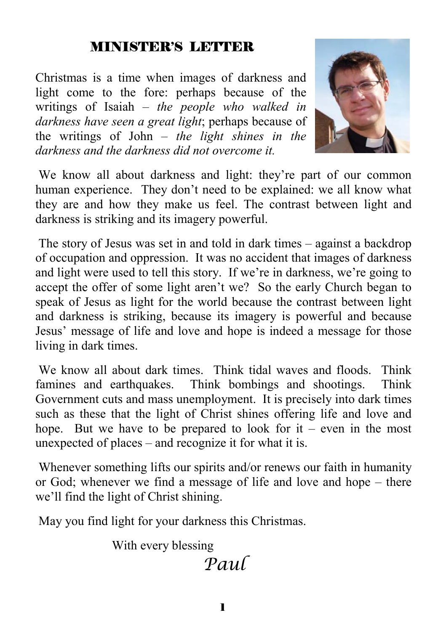#### MINISTER'S LETTER

Christmas is a time when images of darkness and light come to the fore: perhaps because of the writings of Isaiah – *the people who walked in darkness have seen a great light*; perhaps because of the writings of John – *the light shines in the darkness and the darkness did not overcome it.* 



We know all about darkness and light: they're part of our common human experience. They don't need to be explained: we all know what they are and how they make us feel. The contrast between light and darkness is striking and its imagery powerful.

 The story of Jesus was set in and told in dark times – against a backdrop of occupation and oppression. It was no accident that images of darkness and light were used to tell this story. If we're in darkness, we're going to accept the offer of some light aren't we? So the early Church began to speak of Jesus as light for the world because the contrast between light and darkness is striking, because its imagery is powerful and because Jesus' message of life and love and hope is indeed a message for those living in dark times.

 We know all about dark times. Think tidal waves and floods. Think famines and earthquakes. Think bombings and shootings. Think Government cuts and mass unemployment. It is precisely into dark times such as these that the light of Christ shines offering life and love and hope. But we have to be prepared to look for  $it$  – even in the most unexpected of places – and recognize it for what it is.

Whenever something lifts our spirits and/or renews our faith in humanity or God; whenever we find a message of life and love and hope – there we'll find the light of Christ shining.

May you find light for your darkness this Christmas.

With every blessing

# *Paul*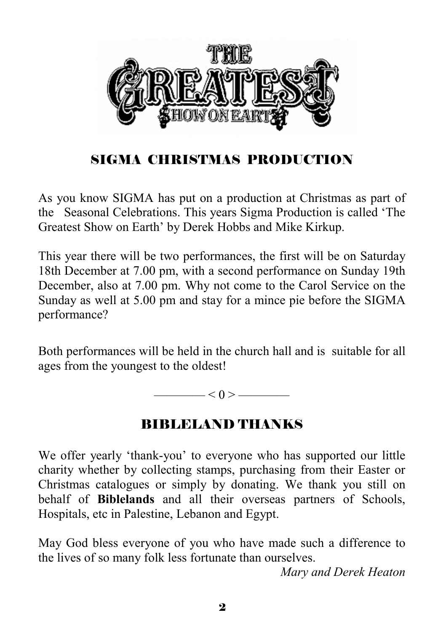

# SIGMA CHRISTMAS PRODUCTION

As you know SIGMA has put on a production at Christmas as part of the Seasonal Celebrations. This years Sigma Production is called 'The Greatest Show on Earth' by Derek Hobbs and Mike Kirkup.

This year there will be two performances, the first will be on Saturday 18th December at 7.00 pm, with a second performance on Sunday 19th December, also at 7.00 pm. Why not come to the Carol Service on the Sunday as well at 5.00 pm and stay for a mince pie before the SIGMA performance?

Both performances will be held in the church hall and is suitable for all ages from the youngest to the oldest!

 $\leq 0$  >  $\equiv$ 

# BIBLELAND THANKS

We offer yearly 'thank-you' to everyone who has supported our little charity whether by collecting stamps, purchasing from their Easter or Christmas catalogues or simply by donating. We thank you still on behalf of **Biblelands** and all their overseas partners of Schools, Hospitals, etc in Palestine, Lebanon and Egypt.

May God bless everyone of you who have made such a difference to the lives of so many folk less fortunate than ourselves.

*Mary and Derek Heaton*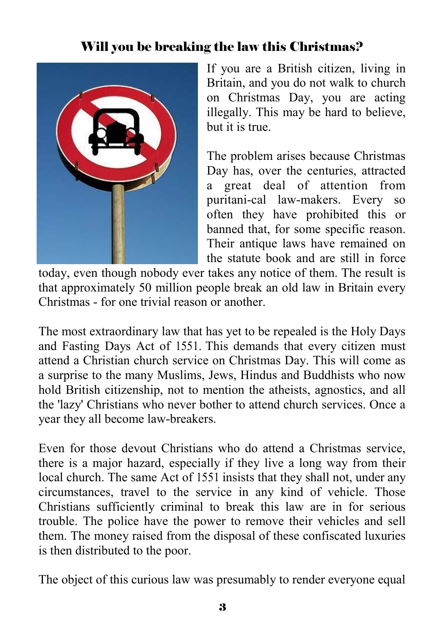## Will you be breaking the law this Christmas?



If you are a British citizen, living in Britain, and you do not walk to church on Christmas Day, you are acting illegally. This may be hard to believe, but it is true.

The problem arises because Christmas Day has, over the centuries, attracted a great deal of attention from puritani-cal law-makers. Every so often they have prohibited this or banned that, for some specific reason. Their antique laws have remained on the statute book and are still in force

today, even though nobody ever takes any notice of them. The result is that approximately 50 million people break an old law in Britain every Christmas - for one trivial reason or another.

The most extraordinary law that has yet to be repealed is the Holy Days and Fasting Days Act of 1551. This demands that every citizen must attend a Christian church service on Christmas Day. This will come as a surprise to the many Muslims, Jews, Hindus and Buddhists who now hold British citizenship, not to mention the atheists, agnostics, and all the 'lazy' Christians who never bother to attend church services. Once a year they all become law-breakers.

Even for those devout Christians who do attend a Christmas service, there is a major hazard, especially if they live a long way from their local church. The same Act of 1551 insists that they shall not, under any circumstances, travel to the service in any kind of vehicle. Those Christians sufficiently criminal to break this law are in for serious trouble. The police have the power to remove their vehicles and sell them. The money raised from the disposal of these confiscated luxuries is then distributed to the poor.

The object of this curious law was presumably to render everyone equal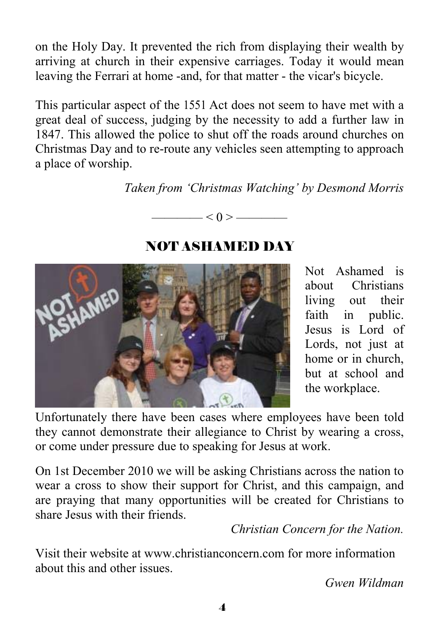on the Holy Day. It prevented the rich from displaying their wealth by arriving at church in their expensive carriages. Today it would mean leaving the Ferrari at home -and, for that matter - the vicar's bicycle.

This particular aspect of the 1551 Act does not seem to have met with a great deal of success, judging by the necessity to add a further law in 1847. This allowed the police to shut off the roads around churches on Christmas Day and to re-route any vehicles seen attempting to approach a place of worship.

*Taken from 'Christmas Watching' by Desmond Morris* 

**HAMED** 

NOT ASHAMED DAY

 $<$  0 > —

Not Ashamed is about Christians living out their faith in public. Jesus is Lord of Lords, not just at home or in church, but at school and the workplace.

Unfortunately there have been cases where employees have been told they cannot demonstrate their allegiance to Christ by wearing a cross, or come under pressure due to speaking for Jesus at work.

On 1st December 2010 we will be asking Christians across the nation to wear a cross to show their support for Christ, and this campaign, and are praying that many opportunities will be created for Christians to share Jesus with their friends.

*Christian Concern for the Nation.* 

Visit their website at www.christianconcern.com for more information about this and other issues.

*Gwen Wildman*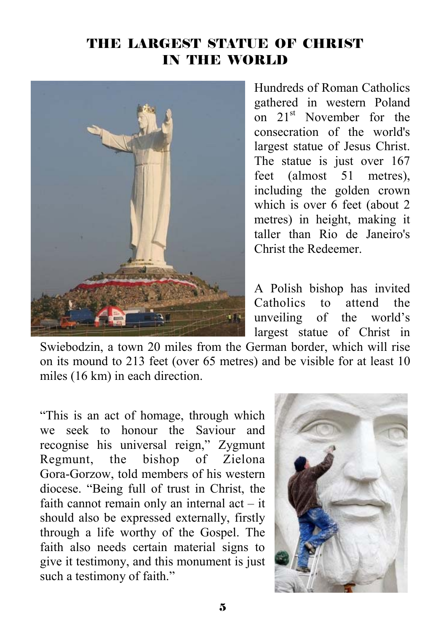#### THE LARGEST STATUE OF CHRIST IN THE WORLD



Hundreds of Roman Catholics gathered in western Poland on  $21<sup>st</sup>$  November for the consecration of the world's largest statue of Jesus Christ. The statue is just over 167 feet (almost 51 metres), including the golden crown which is over 6 feet (about 2 metres) in height, making it taller than Rio de Janeiro's Christ the Redeemer.

A Polish bishop has invited Catholics to attend the unveiling of the world's largest statue of Christ in

Swiebodzin, a town 20 miles from the German border, which will rise on its mound to 213 feet (over 65 metres) and be visible for at least 10 miles (16 km) in each direction.

"This is an act of homage, through which we seek to honour the Saviour and recognise his universal reign," Zygmunt Regmunt, the bishop of Zielona Gora-Gorzow, told members of his western diocese. "Being full of trust in Christ, the faith cannot remain only an internal act – it should also be expressed externally, firstly through a life worthy of the Gospel. The faith also needs certain material signs to give it testimony, and this monument is just such a testimony of faith."

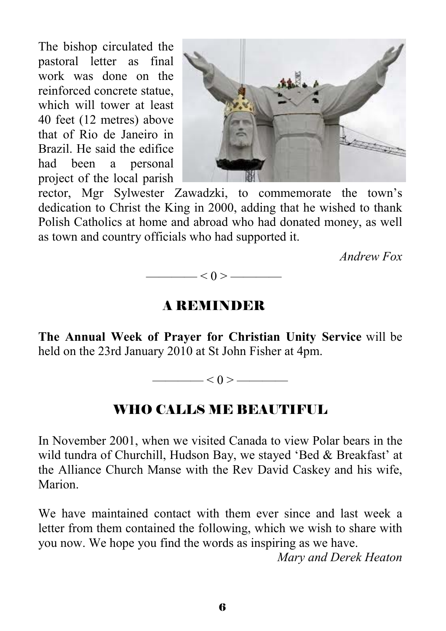The bishop circulated the pastoral letter as final work was done on the reinforced concrete statue, which will tower at least 40 feet (12 metres) above that of Rio de Janeiro in Brazil. He said the edifice had been a personal project of the local parish



rector, Mgr Sylwester Zawadzki, to commemorate the town's dedication to Christ the King in 2000, adding that he wished to thank Polish Catholics at home and abroad who had donated money, as well as town and country officials who had supported it.

*Andrew Fox* 



#### A REMINDER

**The Annual Week of Prayer for Christian Unity Service** will be held on the 23rd January 2010 at St John Fisher at 4pm.

 $\left| \alpha \right| < 0 \right. > \frac{1}{\sqrt{2\pi}}$ 

## WHO CALLS ME BEAUTIFUL

In November 2001, when we visited Canada to view Polar bears in the wild tundra of Churchill, Hudson Bay, we stayed 'Bed & Breakfast' at the Alliance Church Manse with the Rev David Caskey and his wife, Marion.

We have maintained contact with them ever since and last week a letter from them contained the following, which we wish to share with you now. We hope you find the words as inspiring as we have.

*Mary and Derek Heaton*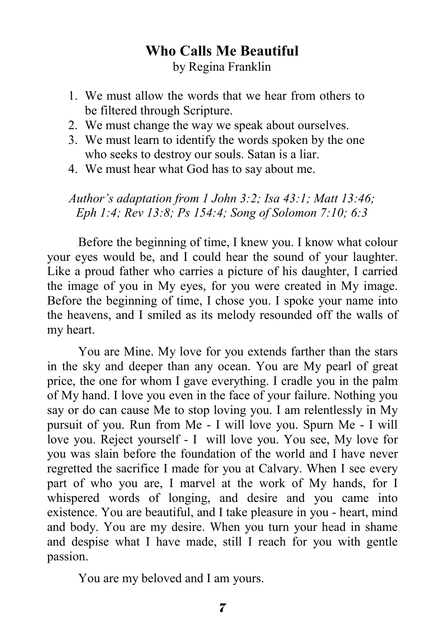#### **Who Calls Me Beautiful**  by Regina Franklin

- 1. We must allow the words that we hear from others to be filtered through Scripture.
- 2. We must change the way we speak about ourselves.
- 3. We must learn to identify the words spoken by the one who seeks to destroy our souls. Satan is a liar.
- 4. We must hear what God has to say about me.

*Author's adaptation from 1 John 3:2; Isa 43:1; Matt 13:46; Eph 1:4; Rev 13:8; Ps 154:4; Song of Solomon 7:10; 6:3* 

 Before the beginning of time, I knew you. I know what colour your eyes would be, and I could hear the sound of your laughter. Like a proud father who carries a picture of his daughter, I carried the image of you in My eyes, for you were created in My image. Before the beginning of time, I chose you. I spoke your name into the heavens, and I smiled as its melody resounded off the walls of my heart.

 You are Mine. My love for you extends farther than the stars in the sky and deeper than any ocean. You are My pearl of great price, the one for whom I gave everything. I cradle you in the palm of My hand. I love you even in the face of your failure. Nothing you say or do can cause Me to stop loving you. I am relentlessly in My pursuit of you. Run from Me - I will love you. Spurn Me - I will love you. Reject yourself - I will love you. You see, My love for you was slain before the foundation of the world and I have never regretted the sacrifice I made for you at Calvary. When I see every part of who you are, I marvel at the work of My hands, for I whispered words of longing, and desire and you came into existence. You are beautiful, and I take pleasure in you - heart, mind and body. You are my desire. When you turn your head in shame and despise what I have made, still I reach for you with gentle passion.

You are my beloved and I am yours.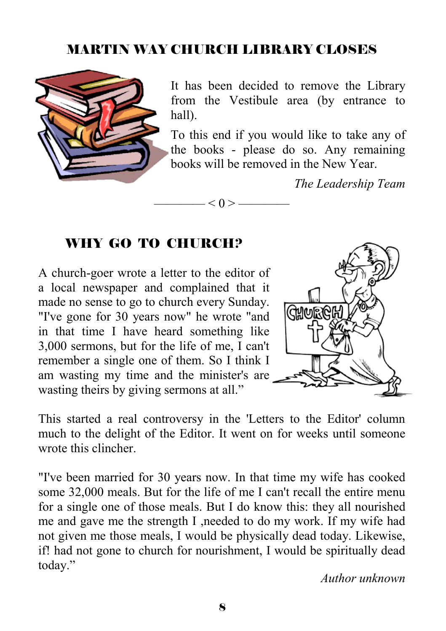# MARTIN WAY CHURCH LIBRARY CLOSES

 $\leq 0$  >  $\equiv$ 



It has been decided to remove the Library from the Vestibule area (by entrance to hall).

To this end if you would like to take any of the books - please do so. Any remaining books will be removed in the New Year.

*The Leadership Team* 

#### WHY GO TO CHURCH?

A church-goer wrote a letter to the editor of a local newspaper and complained that it made no sense to go to church every Sunday. "I've gone for 30 years now" he wrote "and in that time I have heard something like 3,000 sermons, but for the life of me, I can't remember a single one of them. So I think I am wasting my time and the minister's are wasting theirs by giving sermons at all."



This started a real controversy in the 'Letters to the Editor' column much to the delight of the Editor. It went on for weeks until someone wrote this clincher

"I've been married for 30 years now. In that time my wife has cooked some 32,000 meals. But for the life of me I can't recall the entire menu for a single one of those meals. But I do know this: they all nourished me and gave me the strength I ,needed to do my work. If my wife had not given me those meals, I would be physically dead today. Likewise, if! had not gone to church for nourishment, I would be spiritually dead today."

*Author unknown*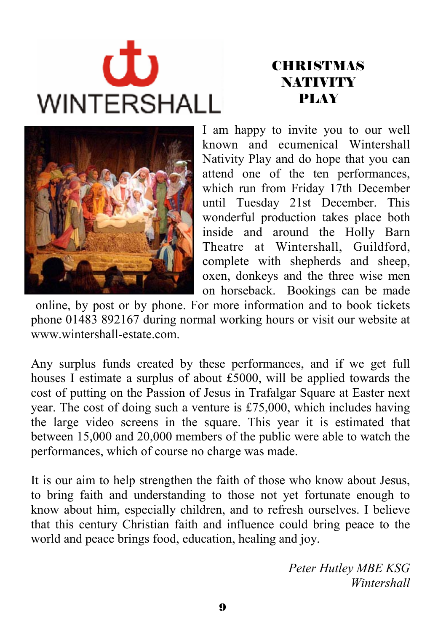# む **WINTERSHALL**

# **CHRISTMAS NATIVITY** PLAY



I am happy to invite you to our well known and ecumenical Wintershall Nativity Play and do hope that you can attend one of the ten performances, which run from Friday 17th December until Tuesday 21st December. This wonderful production takes place both inside and around the Holly Barn Theatre at Wintershall, Guildford, complete with shepherds and sheep, oxen, donkeys and the three wise men on horseback. Bookings can be made

 online, by post or by phone. For more information and to book tickets phone 01483 892167 during normal working hours or visit our website at www.wintershall-estate.com.

Any surplus funds created by these performances, and if we get full houses I estimate a surplus of about £5000, will be applied towards the cost of putting on the Passion of Jesus in Trafalgar Square at Easter next year. The cost of doing such a venture is £75,000, which includes having the large video screens in the square. This year it is estimated that between 15,000 and 20,000 members of the public were able to watch the performances, which of course no charge was made.

It is our aim to help strengthen the faith of those who know about Jesus, to bring faith and understanding to those not yet fortunate enough to know about him, especially children, and to refresh ourselves. I believe that this century Christian faith and influence could bring peace to the world and peace brings food, education, healing and joy.

> *Peter Hutley MBE KSG Wintershall*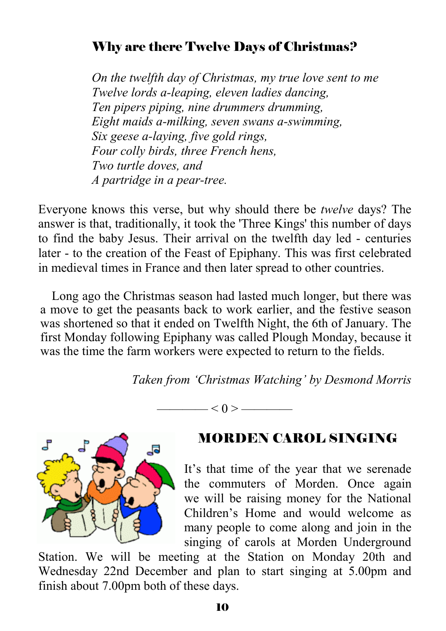#### Why are there Twelve Days of Christmas?

*On the twelfth day of Christmas, my true love sent to me Twelve lords a-leaping, eleven ladies dancing, Ten pipers piping, nine drummers drumming, Eight maids a-milking, seven swans a-swimming, Six geese a-laying, five gold rings, Four colly birds, three French hens, Two turtle doves, and A partridge in a pear-tree.* 

Everyone knows this verse, but why should there be *twelve* days? The answer is that, traditionally, it took the 'Three Kings' this number of days to find the baby Jesus. Their arrival on the twelfth day led - centuries later - to the creation of the Feast of Epiphany. This was first celebrated in medieval times in France and then later spread to other countries.

Long ago the Christmas season had lasted much longer, but there was a move to get the peasants back to work earlier, and the festive season was shortened so that it ended on Twelfth Night, the 6th of January. The first Monday following Epiphany was called Plough Monday, because it was the time the farm workers were expected to return to the fields.

*Taken from 'Christmas Watching' by Desmond Morris*

 $- < 0 > \underline{\hspace{1cm}}$ 



#### MORDEN CAROL SINGING

It's that time of the year that we serenade the commuters of Morden. Once again we will be raising money for the National Children's Home and would welcome as many people to come along and join in the singing of carols at Morden Underground

Station. We will be meeting at the Station on Monday 20th and Wednesday 22nd December and plan to start singing at 5.00pm and finish about 7.00pm both of these days.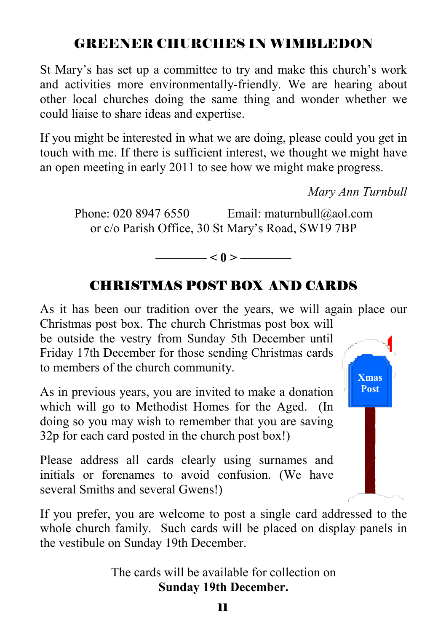# GREENER CHURCHES IN WIMBLEDON

St Mary's has set up a committee to try and make this church's work and activities more environmentally-friendly. We are hearing about other local churches doing the same thing and wonder whether we could liaise to share ideas and expertise.

If you might be interested in what we are doing, please could you get in touch with me. If there is sufficient interest, we thought we might have an open meeting in early 2011 to see how we might make progress.

*Mary Ann Turnbull* 

Phone: 020 8947 6550 Email: maturnbull@aol.com or c/o Parish Office, 30 St Mary's Road, SW19 7BP

## CHRISTMAS POST BOX AND CARDS

**———— < 0 > ————**

As it has been our tradition over the years, we will again place our Christmas post box. The church Christmas post box will

be outside the vestry from Sunday 5th December until Friday 17th December for those sending Christmas cards to members of the church community.

As in previous years, you are invited to make a donation which will go to Methodist Homes for the Aged. (In doing so you may wish to remember that you are saving 32p for each card posted in the church post box!)

Please address all cards clearly using surnames and initials or forenames to avoid confusion. (We have several Smiths and several Gwens!)

If you prefer, you are welcome to post a single card addressed to the whole church family. Such cards will be placed on display panels in the vestibule on Sunday 19th December.

> The cards will be available for collection on **Sunday 19th December.**

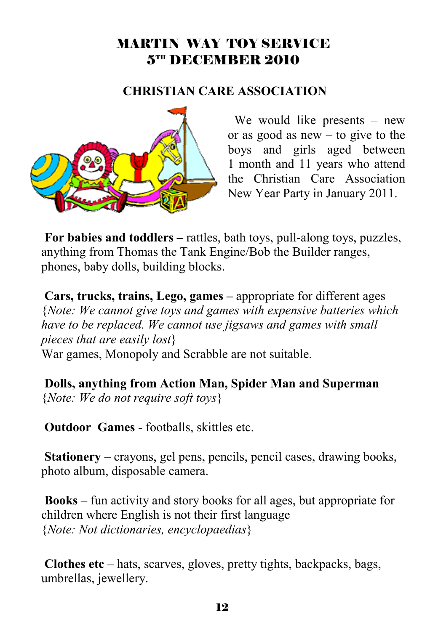#### MARTIN WAY TOY SERVICE 5TH DECEMBER 2010

#### **CHRISTIAN CARE ASSOCIATION**



 We would like presents – new or as good as new – to give to the boys and girls aged between 1 month and 11 years who attend the Christian Care Association New Year Party in January 2011.

**For babies and toddlers –** rattles, bath toys, pull-along toys, puzzles, anything from Thomas the Tank Engine/Bob the Builder ranges, phones, baby dolls, building blocks.

**Cars, trucks, trains, Lego, games –** appropriate for different ages {*Note: We cannot give toys and games with expensive batteries which have to be replaced. We cannot use jigsaws and games with small pieces that are easily lost*} War games, Monopoly and Scrabble are not suitable.

**Dolls, anything from Action Man, Spider Man and Superman**  {*Note: We do not require soft toys*}

**Outdoor Games** - footballs, skittles etc.

**Stationery** – crayons, gel pens, pencils, pencil cases, drawing books, photo album, disposable camera.

**Books** – fun activity and story books for all ages, but appropriate for children where English is not their first language {*Note: Not dictionaries, encyclopaedias*}

**Clothes etc** – hats, scarves, gloves, pretty tights, backpacks, bags, umbrellas, jewellery.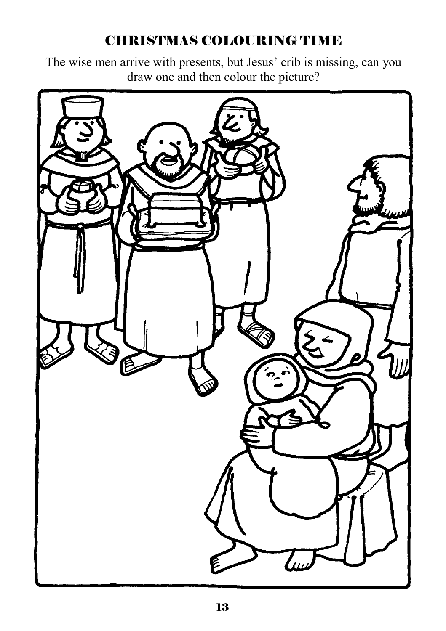# CHRISTMAS COLOURING TIME

The wise men arrive with presents, but Jesus' crib is missing, can you draw one and then colour the picture?

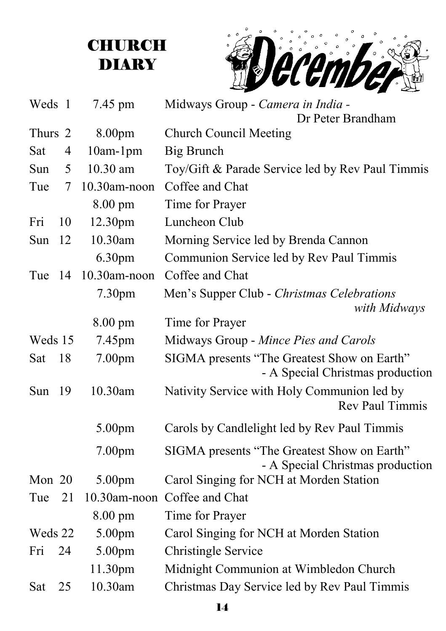# **CHURCH DIARY**



| Weds 1  |     | 7.45 pm            | Midways Group - Camera in India -<br>Dr Peter Brandham                          |
|---------|-----|--------------------|---------------------------------------------------------------------------------|
| Thurs 2 |     | 8.00pm             | <b>Church Council Meeting</b>                                                   |
| Sat     | 4   | $10am-1pm$         | Big Brunch                                                                      |
| Sun     | 5   | 10.30 am           | Toy/Gift & Parade Service led by Rev Paul Timmis                                |
| Tue     | 7   | 10.30am-noon       | Coffee and Chat                                                                 |
|         |     | 8.00 pm            | Time for Prayer                                                                 |
| Fri     | 10  | 12.30pm            | Luncheon Club                                                                   |
| Sun     | 12  | 10.30am            | Morning Service led by Brenda Cannon                                            |
|         |     | 6.30pm             | Communion Service led by Rev Paul Timmis                                        |
| Tue     | 14  | 10.30am-noon       | Coffee and Chat                                                                 |
|         |     | 7.30pm             | Men's Supper Club - Christmas Celebrations<br>with Midways                      |
|         |     | $8.00 \text{ pm}$  | Time for Prayer                                                                 |
| Weds 15 |     | 7.45pm             | Midways Group - Mince Pies and Carols                                           |
| Sat     | 18  | 7.00 <sub>pm</sub> | SIGMA presents "The Greatest Show on Earth"<br>- A Special Christmas production |
| Sun     | -19 | 10.30am            | Nativity Service with Holy Communion led by<br><b>Rev Paul Timmis</b>           |
|         |     | 5.00pm             | Carols by Candlelight led by Rev Paul Timmis                                    |
|         |     | 7.00 <sub>pm</sub> | SIGMA presents "The Greatest Show on Earth"<br>- A Special Christmas production |
| Mon 20  |     | 5.00pm             | Carol Singing for NCH at Morden Station                                         |
| Tue     | 21  |                    | 10.30am-noon Coffee and Chat                                                    |
|         |     | 8.00 pm            | Time for Prayer                                                                 |
| Weds 22 |     | 5.00pm             | Carol Singing for NCH at Morden Station                                         |
| Fri     | 24  | 5.00pm             | <b>Christingle Service</b>                                                      |
|         |     | 11.30pm            | Midnight Communion at Wimbledon Church                                          |
| Sat     | 25  | 10.30am            | Christmas Day Service led by Rev Paul Timmis                                    |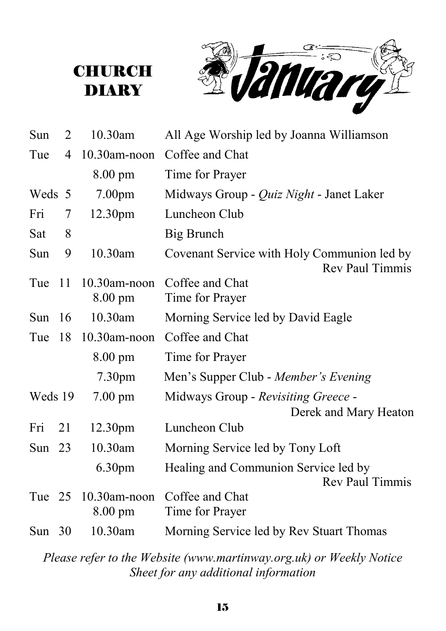



| Sun      | 2   | 10.30am            | All Age Worship led by Joanna Williamson                              |
|----------|-----|--------------------|-----------------------------------------------------------------------|
| Tue      | 4   | 10.30am-noon       | Coffee and Chat                                                       |
|          |     | 8.00 pm            | Time for Prayer                                                       |
| Weds 5   |     | 7.00 <sub>pm</sub> | Midways Group - <i>Quiz Night</i> - Janet Laker                       |
| Fri      | 7   | 12.30pm            | Luncheon Club                                                         |
| Sat      | 8   |                    | Big Brunch                                                            |
| Sun      | 9   | 10.30am            | Covenant Service with Holy Communion led by<br><b>Rev Paul Timmis</b> |
| Tue      | -11 | $10.30$ am-noon    | Coffee and Chat                                                       |
|          |     | $8.00 \text{ pm}$  | Time for Prayer                                                       |
| Sun      | 16  | 10.30am            | Morning Service led by David Eagle                                    |
| Tue      | 18  | 10.30am-noon       | Coffee and Chat                                                       |
|          |     | $8.00 \text{ pm}$  | Time for Prayer                                                       |
|          |     | 7.30 <sub>pm</sub> | Men's Supper Club - Member's Evening                                  |
| Weds 19  |     | $7.00 \text{ pm}$  | Midways Group - Revisiting Greece -                                   |
|          |     |                    | Derek and Mary Heaton                                                 |
| Fri      | 21  | 12.30pm            | Luncheon Club                                                         |
| Sun $23$ |     | 10.30am            | Morning Service led by Tony Loft                                      |
|          |     | 6.30 <sub>pm</sub> | Healing and Communion Service led by<br><b>Rev Paul Timmis</b>        |
| Tue 25   |     | 10.30am-noon       | Coffee and Chat                                                       |
|          |     | $8.00 \text{ pm}$  | Time for Prayer                                                       |
| Sun $30$ |     | 10.30am            | Morning Service led by Rev Stuart Thomas                              |

*Please refer to the Website (www.martinway.org.uk) or Weekly Notice Sheet for any additional information*